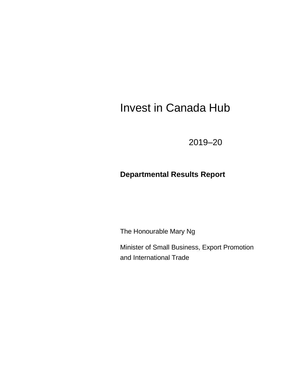# Invest in Canada Hub

2019–20

# **Departmental Results Report**

The Honourable Mary Ng

Minister of Small Business, Export Promotion and International Trade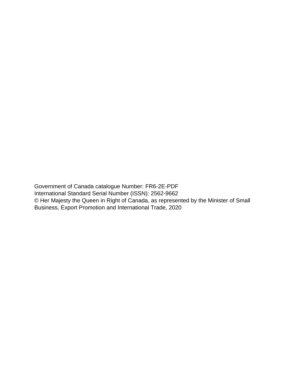Government of Canada catalogue Number: FR6-2E-PDF International Standard Serial Number (ISSN): 2562-9662 © Her Majesty the Queen in Right of Canada, as represented by the Minister of Small Business, Export Promotion and International Trade, 2020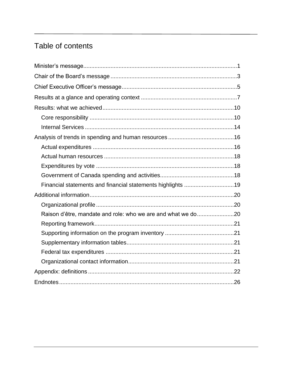# Table of contents

| Financial statements and financial statements highlights 19  |  |
|--------------------------------------------------------------|--|
|                                                              |  |
|                                                              |  |
| Raison d'être, mandate and role: who we are and what we do20 |  |
|                                                              |  |
|                                                              |  |
|                                                              |  |
|                                                              |  |
|                                                              |  |
|                                                              |  |
|                                                              |  |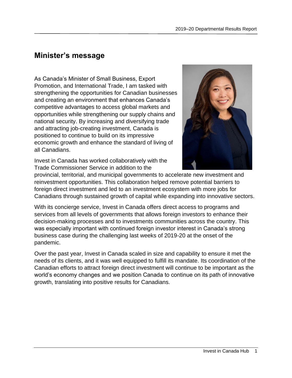# <span id="page-4-0"></span>**Minister's message**

As Canada's Minister of Small Business, Export Promotion, and International Trade, I am tasked with strengthening the opportunities for Canadian businesses and creating an environment that enhances Canada's competitive advantages to access global markets and opportunities while strengthening our supply chains and national security. By increasing and diversifying trade and attracting job-creating investment, Canada is positioned to continue to build on its impressive economic growth and enhance the standard of living of all Canadians.



Invest in Canada has worked collaboratively with the Trade Commissioner Service in addition to the

provincial, territorial, and municipal governments to accelerate new investment and reinvestment opportunities. This collaboration helped remove potential barriers to foreign direct investment and led to an investment ecosystem with more jobs for Canadians through sustained growth of capital while expanding into innovative sectors.

With its concierge service, Invest in Canada offers direct access to programs and services from all levels of governments that allows foreign investors to enhance their decision-making processes and to investments communities across the country. This was especially important with continued foreign investor interest in Canada's strong business case during the challenging last weeks of 2019-20 at the onset of the pandemic.

Over the past year, Invest in Canada scaled in size and capability to ensure it met the needs of its clients, and it was well equipped to fulfill its mandate. Its coordination of the Canadian efforts to attract foreign direct investment will continue to be important as the world's economy changes and we position Canada to continue on its path of innovative growth, translating into positive results for Canadians.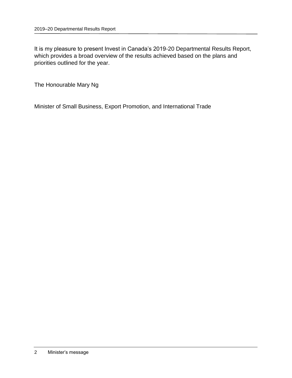It is my pleasure to present Invest in Canada's 2019-20 Departmental Results Report, which provides a broad overview of the results achieved based on the plans and priorities outlined for the year.

The Honourable Mary Ng

Minister of Small Business, Export Promotion, and International Trade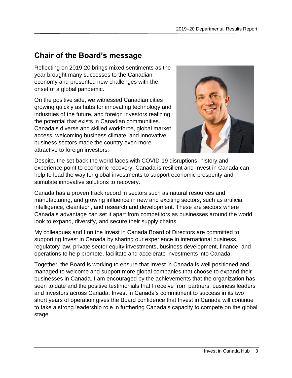# <span id="page-6-0"></span>**Chair of the Board's message**

Reflecting on 2019-20 brings mixed sentiments as the year brought many successes to the Canadian economy and presented new challenges with the onset of a global pandemic.

On the positive side, we witnessed Canadian cities growing quickly as hubs for innovating technology and industries of the future, and foreign investors realizing the potential that exists in Canadian communities. Canada's diverse and skilled workforce, global market access, welcoming business climate, and innovative business sectors made the country even more attractive to foreign investors.



Despite, the set-back the world faces with COVID-19 disruptions, history and experience point to economic recovery. Canada is resilient and Invest in Canada can help to lead the way for global investments to support economic prosperity and stimulate innovative solutions to recovery.

Canada has a proven track record in sectors such as natural resources and manufacturing, and growing influence in new and exciting sectors, such as artificial intelligence, cleantech, and research and development. These are sectors where Canada's advantage can set it apart from competitors as businesses around the world look to expand, diversify, and secure their supply chains.

My colleagues and I on the Invest in Canada Board of Directors are committed to supporting Invest in Canada by sharing our experience in international business, regulatory law, private sector equity investments, business development, finance, and operations to help promote, facilitate and accelerate investments into Canada.

Together, the Board is working to ensure that Invest in Canada is well positioned and managed to welcome and support more global companies that choose to expand their businesses in Canada. I am encouraged by the achievements that the organization has seen to date and the positive testimonials that I receive from partners, business leaders and investors across Canada. Invest in Canada's commitment to success in its two short years of operation gives the Board confidence that Invest in Canada will continue to take a strong leadership role in furthering Canada's capacity to compete on the global stage.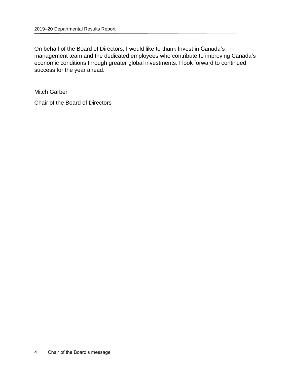On behalf of the Board of Directors, I would like to thank Invest in Canada's management team and the dedicated employees who contribute to improving Canada's economic conditions through greater global investments. I look forward to continued success for the year ahead.

Mitch Garber

Chair of the Board of Directors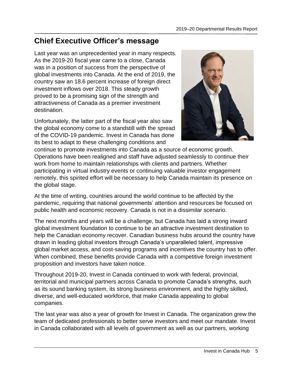# <span id="page-8-0"></span>**Chief Executive Officer's message**

Last year was an unprecedented year in many respects. As the 2019-20 fiscal year came to a close, Canada was in a position of success from the perspective of global investments into Canada. At the end of 2019, the country saw an 18.6 percent increase of foreign direct investment inflows over 2018. This steady growth proved to be a promising sign of the strength and attractiveness of Canada as a premier investment destination.

Unfortunately, the latter part of the fiscal year also saw the global economy come to a standstill with the spread of the COVID-19 pandemic. Invest in Canada has done its best to adapt to these challenging conditions and



continue to promote investments into Canada as a source of economic growth. Operations have been realigned and staff have adjusted seamlessly to continue their work from home to maintain relationships with clients and partners. Whether participating in virtual industry events or continuing valuable investor engagement remotely, this spirited effort will be necessary to help Canada maintain its presence on the global stage.

At the time of writing, countries around the world continue to be affected by the pandemic, requiring that national governments' attention and resources be focused on public health and economic recovery. Canada is not in a dissimilar scenario.

The next months and years will be a challenge, but Canada has laid a strong inward global investment foundation to continue to be an attractive investment destination to help the Canadian economy recover. Canadian business hubs around the country have drawn in leading global investors through Canada's unparalleled talent, impressive global market access, and cost-saving programs and incentives the country has to offer. When combined, these benefits provide Canada with a competitive foreign investment proposition and investors have taken notice.

Throughout 2019-20, Invest in Canada continued to work with federal, provincial, territorial and municipal partners across Canada to promote Canada's strengths, such as its sound banking system, its strong business environment, and the highly skilled, diverse, and well-educated workforce, that make Canada appealing to global companies.

The last year was also a year of growth for Invest in Canada. The organization grew the team of dedicated professionals to better serve investors and meet our mandate. Invest in Canada collaborated with all levels of government as well as our partners, working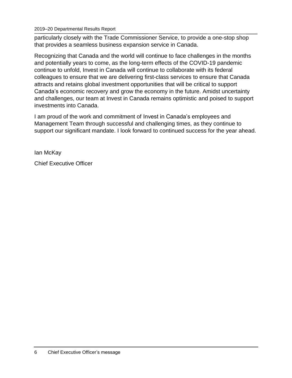2019–20 Departmental Results Report

particularly closely with the Trade Commissioner Service, to provide a one-stop shop that provides a seamless business expansion service in Canada.

Recognizing that Canada and the world will continue to face challenges in the months and potentially years to come, as the long-term effects of the COVID-19 pandemic continue to unfold, Invest in Canada will continue to collaborate with its federal colleagues to ensure that we are delivering first-class services to ensure that Canada attracts and retains global investment opportunities that will be critical to support Canada's economic recovery and grow the economy in the future. Amidst uncertainty and challenges, our team at Invest in Canada remains optimistic and poised to support investments into Canada.

I am proud of the work and commitment of Invest in Canada's employees and Management Team through successful and challenging times, as they continue to support our significant mandate. I look forward to continued success for the year ahead.

Ian McKay

Chief Executive Officer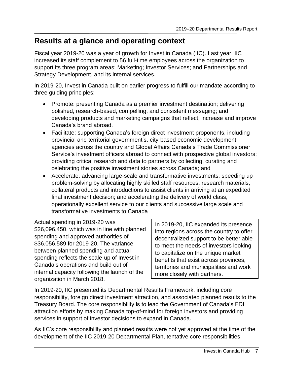# <span id="page-10-0"></span>**Results at a glance and operating context**

Fiscal year 2019-20 was a year of growth for Invest in Canada (IIC). Last year, IIC increased its staff complement to 56 full-time employees across the organization to support its three program areas: Marketing; Investor Services; and Partnerships and Strategy Development, and its internal services.

In 2019-20, Invest in Canada built on earlier progress to fulfill our mandate according to three guiding principles:

- Promote: presenting Canada as a premier investment destination; delivering polished, research-based, compelling, and consistent messaging; and developing products and marketing campaigns that reflect, increase and improve Canada's brand abroad.
- Facilitate: supporting Canada's foreign direct investment proponents, including provincial and territorial government's, city-based economic development agencies across the country and Global Affairs Canada's Trade Commissioner Service's investment officers abroad to connect with prospective global investors; providing critical research and data to partners by collecting, curating and celebrating the positive investment stories across Canada; and
- Accelerate: advancing large-scale and transformative investments; speeding up problem-solving by allocating highly skilled staff resources, research materials, collateral products and introductions to assist clients in arriving at an expedited final investment decision; and accelerating the delivery of world class, operationally excellent service to our clients and successive large scale and transformative investments to Canada

Actual spending in 2019-20 was \$26,096,450, which was in line with planned spending and approved authorities of \$36,056,589 for 2019-20. The variance between planned spending and actual spending reflects the scale-up of Invest in Canada's operations and build out of internal capacity following the launch of the organization in March 2018.

In 2019-20, IIC expanded its presence into regions across the country to offer decentralized support to be better able to meet the needs of investors looking to capitalize on the unique market benefits that exist across provinces, territories and municipalities and work more closely with partners.

In 2019-20, IIC presented its Departmental Results Framework, including core responsibility, foreign direct investment attraction, and associated planned results to the Treasury Board. The core responsibility is to lead the Government of Canada's FDI attraction efforts by making Canada top-of-mind for foreign investors and providing services in support of investor decisions to expand in Canada.

As IIC's core responsibility and planned results were not yet approved at the time of the development of the IIC 2019-20 Departmental Plan, tentative core responsibilities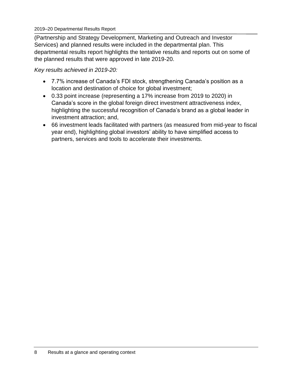#### 2019–20 Departmental Results Report

(Partnership and Strategy Development, Marketing and Outreach and Investor Services) and planned results were included in the departmental plan. This departmental results report highlights the tentative results and reports out on some of the planned results that were approved in late 2019-20.

*Key results achieved in 2019-20:*

- 7.7% increase of Canada's FDI stock, strengthening Canada's position as a location and destination of choice for global investment;
- 0.33 point increase (representing a 17% increase from 2019 to 2020) in Canada's score in the global foreign direct investment attractiveness index, highlighting the successful recognition of Canada's brand as a global leader in investment attraction; and,
- 66 investment leads facilitated with partners (as measured from mid-year to fiscal year end), highlighting global investors' ability to have simplified access to partners, services and tools to accelerate their investments.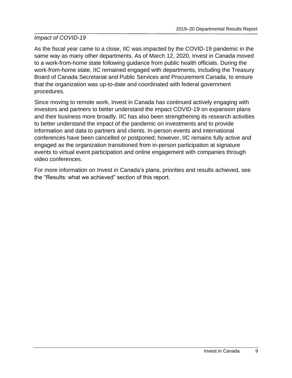### *Impact of COVID-19*

As the fiscal year came to a close, IIC was impacted by the COVID-19 pandemic in the same way as many other departments. As of March 12, 2020, Invest in Canada moved to a work-from-home state following guidance from public health officials. During the work-from-home state, IIC remained engaged with departments, including the Treasury Board of Canada Secretariat and Public Services and Procurement Canada, to ensure that the organization was up-to-date and coordinated with federal government procedures.

Since moving to remote work, Invest in Canada has continued actively engaging with investors and partners to better understand the impact COVID-19 on expansion plans and their business more broadly. IIC has also been strengthening its research activities to better understand the impact of the pandemic on investments and to provide information and data to partners and clients. In-person events and international conferences have been cancelled or postponed; however, IIC remains fully active and engaged as the organization transitioned from in-person participation at signature events to virtual event participation and online engagement with companies through video conferences.

For more information on Invest in Canada's plans, priorities and results achieved, see the "Results: what we achieved" section of this report.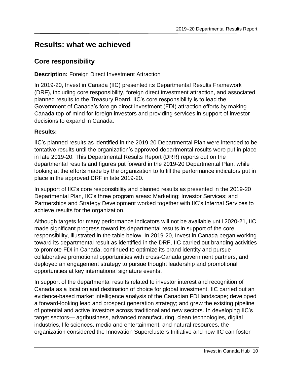# <span id="page-13-0"></span>**Results: what we achieved**

### <span id="page-13-1"></span>**Core responsibility**

### **Description: Foreign Direct Investment Attraction**

In 2019-20, Invest in Canada (IIC) presented its Departmental Results Framework (DRF), including core responsibility, foreign direct investment attraction, and associated planned results to the Treasury Board. IIC's core responsibility is to lead the Government of Canada's foreign direct investment (FDI) attraction efforts by making Canada top-of-mind for foreign investors and providing services in support of investor decisions to expand in Canada.

### **Results:**

IIC's planned results as identified in the 2019-20 Departmental Plan were intended to be tentative results until the organization's approved departmental results were put in place in late 2019-20. This Departmental Results Report (DRR) reports out on the departmental results and figures put forward in the 2019-20 Departmental Plan, while looking at the efforts made by the organization to fulfill the performance indicators put in place in the approved DRF in late 2019-20.

In support of IIC's core responsibility and planned results as presented in the 2019-20 Departmental Plan, IIC's three program areas: Marketing; Investor Services; and Partnerships and Strategy Development worked together with IIC's Internal Services to achieve results for the organization.

Although targets for many performance indicators will not be available until 2020-21, IIC made significant progress toward its departmental results in support of the core responsibility, illustrated in the table below. In 2019-20, Invest in Canada began working toward its departmental result as identified in the DRF, IIC carried out branding activities to promote FDI in Canada, continued to optimize its brand identity and pursue collaborative promotional opportunities with cross-Canada government partners, and deployed an engagement strategy to pursue thought leadership and promotional opportunities at key international signature events.

In support of the departmental results related to investor interest and recognition of Canada as a location and destination of choice for global investment, IIC carried out an evidence-based market intelligence analysis of the Canadian FDI landscape; developed a forward-looking lead and prospect generation strategy; and grew the existing pipeline of potential and active investors across traditional and new sectors. In developing IIC's target sectors— agribusiness, advanced manufacturing, clean technologies, digital industries, life sciences, media and entertainment, and natural resources, the organization considered the Innovation Superclusters Initiative and how IIC can foster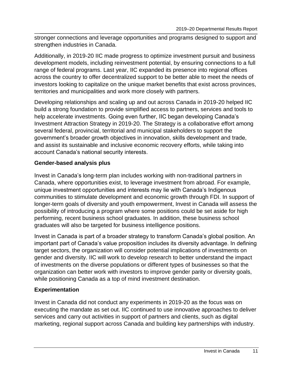stronger connections and leverage opportunities and programs designed to support and strengthen industries in Canada.

Additionally, in 2019-20 IIC made progress to optimize investment pursuit and business development models, including reinvestment potential, by ensuring connections to a full range of federal programs. Last year, IIC expanded its presence into regional offices across the country to offer decentralized support to be better able to meet the needs of investors looking to capitalize on the unique market benefits that exist across provinces, territories and municipalities and work more closely with partners.

Developing relationships and scaling up and out across Canada in 2019-20 helped IIC build a strong foundation to provide simplified access to partners, services and tools to help accelerate investments. Going even further, IIC began developing Canada's Investment Attraction Strategy in 2019-20. The Strategy is a collaborative effort among several federal, provincial, territorial and municipal stakeholders to support the government's broader growth objectives in innovation, skills development and trade, and assist its sustainable and inclusive economic recovery efforts, while taking into account Canada's national security interests.

### **Gender-based analysis plus**

Invest in Canada's long-term plan includes working with non-traditional partners in Canada, where opportunities exist, to leverage investment from abroad. For example, unique investment opportunities and interests may lie with Canada's Indigenous communities to stimulate development and economic growth through FDI. In support of longer-term goals of diversity and youth empowerment, Invest in Canada will assess the possibility of introducing a program where some positions could be set aside for high performing, recent business school graduates. In addition, these business school graduates will also be targeted for business intelligence positions.

Invest in Canada is part of a broader strategy to transform Canada's global position. An important part of Canada's value proposition includes its diversity advantage. In defining target sectors, the organization will consider potential implications of investments on gender and diversity. IIC will work to develop research to better understand the impact of investments on the diverse populations or different types of businesses so that the organization can better work with investors to improve gender parity or diversity goals, while positioning Canada as a top of mind investment destination.

### **Experimentation**

Invest in Canada did not conduct any experiments in 2019-20 as the focus was on executing the mandate as set out. IIC continued to use innovative approaches to deliver services and carry out activities in support of partners and clients, such as digital marketing, regional support across Canada and building key partnerships with industry.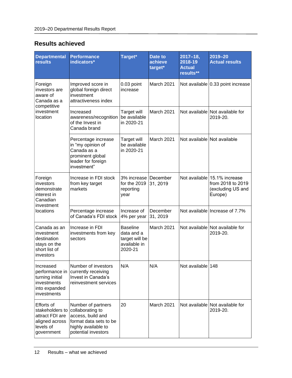### **Results achieved**

| <b>Departmental</b><br><b>results</b>                                                         | <b>Performance</b><br>indicators*                                                                                                   | Target*                                                                    | Date to<br>achieve<br>target* | $2017 - 18$ ,<br>2018-19<br><b>Actual</b><br>results** | 2019-20<br><b>Actual results</b>                                                  |
|-----------------------------------------------------------------------------------------------|-------------------------------------------------------------------------------------------------------------------------------------|----------------------------------------------------------------------------|-------------------------------|--------------------------------------------------------|-----------------------------------------------------------------------------------|
| Foreign<br>investors are<br>aware of<br>Canada as a                                           | Improved score in<br>global foreign direct<br>investment<br>attractiveness index                                                    | 0.03 point<br>increase                                                     | March 2021                    |                                                        | Not available 0.33 point increase                                                 |
| competitive<br>investment<br>location                                                         | Increased<br>awareness/recognition<br>of the Invest in<br>Canada brand                                                              | <b>Target will</b><br>be available<br>in 2020-21                           | March 2021                    |                                                        | Not available Not available for<br>2019-20.                                       |
|                                                                                               | Percentage increase<br>in "my opinion of<br>Canada as a<br>prominent global<br>leader for foreign<br>investment"                    | <b>Target will</b><br>be available<br>in 2020-21                           | <b>March 2021</b>             |                                                        | Not available Not available                                                       |
| Foreign<br>investors<br>demonstrate<br>interest in<br>Canadian<br>investment                  | Increase in FDI stock<br>from key target<br>markets                                                                                 | 3% increase<br>for the 2019<br>reporting<br>year                           | December<br>31, 2019          |                                                        | Not available 15.1% increase<br>from 2018 to 2019<br>(excluding US and<br>Europe) |
| locations                                                                                     | Percentage increase<br>of Canada's FDI stock                                                                                        | Increase of<br>4% per year                                                 | December<br>31, 2019          |                                                        | Not available Increase of 7.7%                                                    |
| Canada as an<br>investment<br>destination<br>stays on the<br>short list of<br>investors       | Increase in FDI<br>investments from key<br>sectors                                                                                  | <b>Baseline</b><br>data and a<br>target will be<br>available in<br>2020-21 | March 2021                    |                                                        | Not available Not available for<br>2019-20.                                       |
| Increased<br>performance in<br>turning initial<br>investments<br>into expanded<br>investments | Number of investors<br>currently receiving<br>Invest in Canada's<br>reinvestment services                                           | N/A                                                                        | N/A                           | Not available 148                                      |                                                                                   |
| Efforts of<br>stakeholders to<br>attract FDI are<br>aligned across<br>levels of<br>government | Number of partners<br>collaborating to<br>access, build and<br>format data sets to be<br>highly available to<br>potential investors | 20                                                                         | March 2021                    |                                                        | Not available Not available for<br>2019-20.                                       |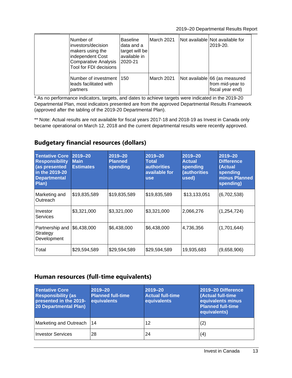2019–20 Departmental Results Report

| Number of<br>investors/decision<br>makers using the<br>independent Cost<br><b>Comparative Analysis</b><br>Tool for FDI decisions | Baseline<br>data and a<br>target will be<br>available in<br>2020-21 | March 2021 | Not available Not available for<br>2019-20.                           |
|----------------------------------------------------------------------------------------------------------------------------------|---------------------------------------------------------------------|------------|-----------------------------------------------------------------------|
| Number of investment<br>leads facilitated with<br>partners                                                                       | 150                                                                 | March 2021 | Not available 66 (as measured<br>from mid-year to<br>fiscal year end) |

\* As no performance indicators, targets, and dates to achieve targets were indicated in the 2019-20 Departmental Plan, most indicators presented are from the approved Departmental Results Framework (approved after the tabling of the 2019-20 Departmental Plan).

\*\* Note: Actual results are not available for fiscal years 2017-18 and 2018-19 as Invest in Canada only became operational on March 12, 2018 and the current departmental results were recently approved.

### **Budgetary financial resources (dollars)**

| <b>Tentative Core</b><br><b>Responsibility</b><br>(as presented<br>in the 2019-20<br><b>Departmental</b><br>Plan) | 2019-20<br><b>Main</b><br><b>Estimates</b> | $2019 - 20$<br><b>Planned</b><br>spending | $2019 - 20$<br>Total<br><b>authorities</b><br>available for<br><b>use</b> | $2019 - 20$<br><b>Actual</b><br>spending<br>(authorities<br>used) | $2019 - 20$<br><b>Difference</b><br>(Actual<br>spending<br>minus Planned<br>spending) |
|-------------------------------------------------------------------------------------------------------------------|--------------------------------------------|-------------------------------------------|---------------------------------------------------------------------------|-------------------------------------------------------------------|---------------------------------------------------------------------------------------|
| Marketing and<br>Outreach                                                                                         | \$19,835,589                               | \$19,835,589                              | \$19,835,589                                                              | \$13,133,051                                                      | (6,702,538)                                                                           |
| Investor<br>Services                                                                                              | \$3,321,000                                | \$3,321,000                               | \$3,321,000                                                               | 2,066,276                                                         | (1, 254, 724)                                                                         |
| Partnership and<br>Strategy<br>Development                                                                        | \$6,438,000                                | \$6,438,000                               | \$6,438,000                                                               | 4,736,356                                                         | (1,701,644)                                                                           |
| Total                                                                                                             | \$29,594,589                               | \$29,594,589                              | \$29,594,589                                                              | 19,935,683                                                        | (9,658,906)                                                                           |

### **Human resources (full-time equivalents)**

| <b>Tentative Core</b><br><b>Responsibility (as</b><br>presented in the 2019-<br><b>20 Departmental Plan)</b> | 2019-20<br><b>Planned full-time</b><br>equivalents | 2019-20<br><b>Actual full-time</b><br>equivalents | 2019-20 Difference<br>(Actual full-time<br>equivalents minus<br><b>Planned full-time</b><br>equivalents) |
|--------------------------------------------------------------------------------------------------------------|----------------------------------------------------|---------------------------------------------------|----------------------------------------------------------------------------------------------------------|
| Marketing and Outreach                                                                                       | 14                                                 | 12                                                | (2)                                                                                                      |
| <b>Investor Services</b>                                                                                     | 28                                                 | 24                                                | (4)                                                                                                      |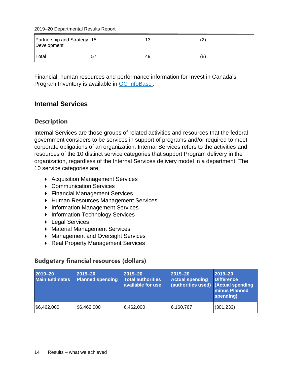2019–20 Departmental Results Report

| Partnership and Strategy   15<br>Development |     | 13 | (2  |
|----------------------------------------------|-----|----|-----|
| Total                                        | .57 | 49 | (8) |

Financial, human resources and performance information for Invest in Canada's Program Inventory is available in GC [InfoBase](https://www.tbs-sct.gc.ca/ems-sgd/edb-bdd/index-eng.html)<sup>i</sup>.

### <span id="page-17-0"></span>**Internal Services**

### **Description**

Internal Services are those groups of related activities and resources that the federal government considers to be services in support of programs and/or required to meet corporate obligations of an organization. Internal Services refers to the activities and resources of the 10 distinct service categories that support Program delivery in the organization, regardless of the Internal Services delivery model in a department. The 10 service categories are:

- ▶ Acquisition Management Services
- Communication Services
- ▶ Financial Management Services
- **Human Resources Management Services**
- **Information Management Services**
- **Information Technology Services**
- ▶ Legal Services
- Material Management Services
- **Management and Oversight Services**
- ▶ Real Property Management Services

### **Budgetary financial resources (dollars)**

| 2019-20<br><b>Main Estimates</b> | 2019-20<br><b>Planned spending</b> | 2019-20<br><b>Total authorities</b><br>available for use | $2019 - 20$<br><b>Actual spending</b><br>(authorities used) (Actual spending | 2019-20<br><b>Difference</b><br><b>minus Planned</b><br>spending) |
|----------------------------------|------------------------------------|----------------------------------------------------------|------------------------------------------------------------------------------|-------------------------------------------------------------------|
| \$6,462,000                      | \$6,462,000                        | 6,462,000                                                | 6,160,767                                                                    | (301, 233)                                                        |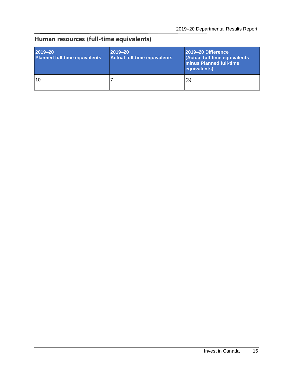# **Human resources (full-time equivalents)**

| 2019-20<br><b>Planned full-time equivalents</b> | $ 2019 - 20 $<br>Actual full-time equivalents | 2019-20 Difference<br>(Actual full-time equivalents<br><b>Iminus Planned full-time</b><br>equivalents) |
|-------------------------------------------------|-----------------------------------------------|--------------------------------------------------------------------------------------------------------|
| 10                                              |                                               | (3)                                                                                                    |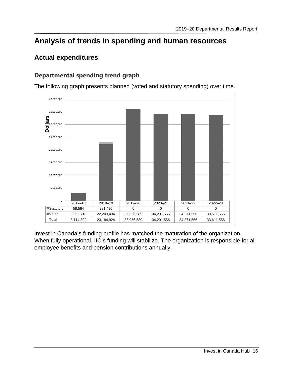# <span id="page-19-0"></span>**Analysis of trends in spending and human resources**

### <span id="page-19-1"></span>**Actual expenditures**

### **Departmental spending trend graph**



The following graph presents planned (voted and statutory spending) over time.

Invest in Canada's funding profile has matched the maturation of the organization. When fully operational, IIC's funding will stabilize. The organization is responsible for all employee benefits and pension contributions annually.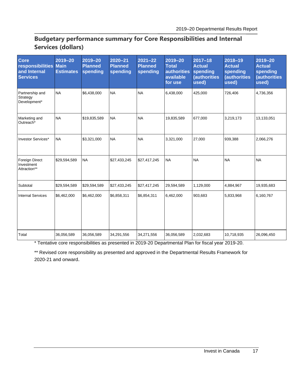### **Budgetary performance summary for Core Responsibilities and Internal Services (dollars)**

| <b>Core</b><br>responsibilities Main<br>and Internal<br><b>Services</b> | $2019 - 20$<br><b>Estimates</b> | 2019-20<br><b>Planned</b><br>spending | 2020-21<br><b>Planned</b><br>spending | $2021 - 22$<br><b>Planned</b><br>spending | 2019-20<br><b>Total</b><br>authorities<br>available<br>for use | $2017 - 18$<br><b>Actual</b><br>spending<br><b>(authorities)</b><br>used) | 2018-19<br><b>Actual</b><br>spending<br><b>(authorities</b><br>used) | 2019-20<br><b>Actual</b><br>spending<br><b>(authorities</b><br>used) |
|-------------------------------------------------------------------------|---------------------------------|---------------------------------------|---------------------------------------|-------------------------------------------|----------------------------------------------------------------|---------------------------------------------------------------------------|----------------------------------------------------------------------|----------------------------------------------------------------------|
| Partnership and<br>Strategy<br>Development*                             | <b>NA</b>                       | \$6,438,000                           | <b>NA</b>                             | <b>NA</b>                                 | 6,438,000                                                      | 425,000                                                                   | 726,406                                                              | 4,736,356                                                            |
| Marketing and<br>Outreach*                                              | <b>NA</b>                       | \$19,835,589                          | <b>NA</b>                             | <b>NA</b>                                 | 19,835,589                                                     | 677,000                                                                   | 3,219,173                                                            | 13,133,051                                                           |
| Investor Services*                                                      | <b>NA</b>                       | \$3,321,000                           | <b>NA</b>                             | <b>NA</b>                                 | 3,321,000                                                      | 27,000                                                                    | 939,388                                                              | 2,066,276                                                            |
| Foreign Direct<br>Investment<br>Attraction**                            | \$29,594,589                    | <b>NA</b>                             | \$27,433,245                          | \$27,417,245                              | <b>NA</b>                                                      | <b>NA</b>                                                                 | <b>NA</b>                                                            | <b>NA</b>                                                            |
| Subtotal                                                                | \$29,594,589                    | \$29,594,589                          | \$27,433,245                          | \$27,417,245                              | 29,594,589                                                     | 1,129,000                                                                 | 4,884,967                                                            | 19,935,683                                                           |
| <b>Internal Services</b>                                                | \$6,462,000                     | \$6,462,000                           | \$6,858,311                           | \$6,854,311                               | 6,462,000                                                      | 903,683                                                                   | 5,833,968                                                            | 6,160,767                                                            |
| Total                                                                   | 36,056,589                      | 36,056,589                            | 34,291,556                            | 34,271,556                                | 36,056,589                                                     | 2,032,683                                                                 | 10,718,935                                                           | 26,096,450                                                           |

\* Tentative core responsibilities as presented in 2019-20 Departmental Plan for fiscal year 2019-20.

\*\* Revised core responsibility as presented and approved in the Departmental Results Framework for 2020-21 and onward.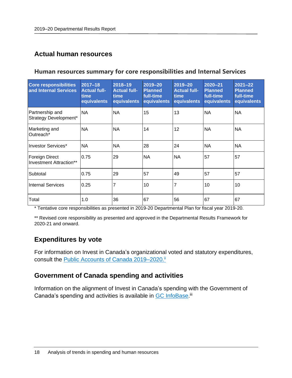### <span id="page-21-0"></span>**Actual human resources**

#### **Human resources summary for core responsibilities and Internal Services**

| <b>Core responsibilities</b><br>and Internal Services | 2017-18<br><b>Actual full-</b><br>time<br>equivalents | 2018-19<br><b>Actual full-</b><br>time<br>equivalents | 2019-20<br><b>Planned</b><br>full-time<br>equivalents | $2019 - 20$<br><b>Actual full-</b><br>time<br>equivalents | 2020-21<br><b>Planned</b><br>full-time<br>equivalents | $2021 - 22$<br><b>Planned</b><br>full-time<br>equivalents |
|-------------------------------------------------------|-------------------------------------------------------|-------------------------------------------------------|-------------------------------------------------------|-----------------------------------------------------------|-------------------------------------------------------|-----------------------------------------------------------|
| Partnership and<br>Strategy Development*              | <b>NA</b>                                             | <b>NA</b>                                             | 15                                                    | 13                                                        | <b>NA</b>                                             | <b>NA</b>                                                 |
| Marketing and<br>Outreach*                            | <b>NA</b>                                             | <b>NA</b>                                             | 14                                                    | 12                                                        | <b>NA</b>                                             | <b>NA</b>                                                 |
| Investor Services*                                    | <b>NA</b>                                             | <b>NA</b>                                             | 28                                                    | 24                                                        | <b>NA</b>                                             | <b>NA</b>                                                 |
| <b>Foreign Direct</b><br>Investment Attraction**      | 0.75                                                  | 29                                                    | <b>NA</b>                                             | <b>NA</b>                                                 | 57                                                    | 57                                                        |
| Subtotal                                              | 0.75                                                  | 29                                                    | 57                                                    | 49                                                        | 57                                                    | 57                                                        |
| <b>Internal Services</b>                              | 0.25                                                  | 7                                                     | 10                                                    | $\overline{7}$                                            | 10                                                    | 10                                                        |
| Total                                                 | 1.0                                                   | 36                                                    | 67                                                    | 56                                                        | 67                                                    | 67                                                        |

\* Tentative core responsibilities as presented in 2019-20 Departmental Plan for fiscal year 2019-20.

\*\* Revised core responsibility as presented and approved in the Departmental Results Framework for 2020-21 and onward.

### <span id="page-21-1"></span>**Expenditures by vote**

For information on Invest in Canada's organizational voted and statutory expenditures, consult the [Public Accounts of Canada 2019–2020.](http://www.tpsgc-pwgsc.gc.ca/recgen/cpc-pac/index-eng.html)ii

### <span id="page-21-2"></span>**Government of Canada spending and activities**

Information on the alignment of Invest in Canada's spending with the Government of Canada's spending and activities is available in GC [InfoBase.](https://www.tbs-sct.gc.ca/ems-sgd/edb-bdd/index-eng.html)<sup>iii</sup>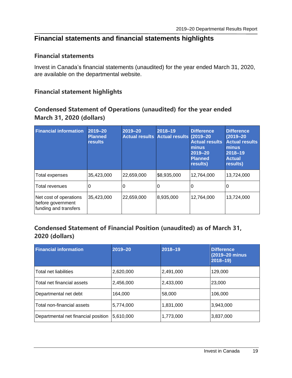### <span id="page-22-0"></span>**Financial statements and financial statements highlights**

#### **Financial statements**

Invest in Canada's financial statements (unaudited) for the year ended March 31, 2020, are available on the departmental website.

### **Financial statement highlights**

### **Condensed Statement of Operations (unaudited) for the year ended March 31, 2020 (dollars)**

| <b>Financial information</b>                                         | 2019-20<br><b>Planned</b><br><b>results</b> | 2019-20<br>Actual results Actual results (2019-20 | 2018-19     | <b>Difference</b><br><b>Actual results</b><br>minus<br>2019-20<br><b>Planned</b><br>results) | <b>Difference</b><br>$(2019 - 20)$<br><b>Actual results</b><br>minus<br>2018-19<br><b>Actual</b><br>results) |
|----------------------------------------------------------------------|---------------------------------------------|---------------------------------------------------|-------------|----------------------------------------------------------------------------------------------|--------------------------------------------------------------------------------------------------------------|
| <b>Total expenses</b>                                                | 35,423,000                                  | 22,659,000                                        | \$8,935,000 | 12,764,000                                                                                   | 13,724,000                                                                                                   |
| Total revenues                                                       | 0                                           | 0                                                 | 0           | 0                                                                                            |                                                                                                              |
| Net cost of operations<br>before government<br>funding and transfers | 35,423,000                                  | 22,659,000                                        | 8,935,000   | 12,764,000                                                                                   | 13,724,000                                                                                                   |

### **Condensed Statement of Financial Position (unaudited) as of March 31, 2020 (dollars)**

| <b>Financial information</b>        | $2019 - 20$ | $2018 - 19$ | <b>Difference</b><br>(2019-20 minus<br>$2018 - 19$ |
|-------------------------------------|-------------|-------------|----------------------------------------------------|
| Total net liabilities               | 2,620,000   | 2,491,000   | 129,000                                            |
| Total net financial assets          | 2,456,000   | 2,433,000   | 23,000                                             |
| Departmental net debt               | 164.000     | 58,000      | 106,000                                            |
| Total non-financial assets          | 5,774,000   | 1,831,000   | 3,943,000                                          |
| Departmental net financial position | 5,610,000   | 1,773,000   | 3,837,000                                          |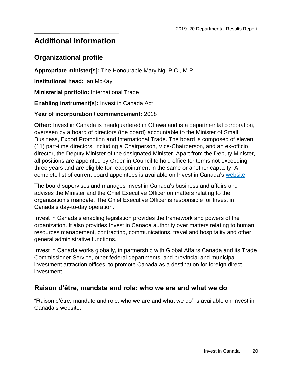# <span id="page-23-0"></span>**Additional information**

### <span id="page-23-1"></span>**Organizational profile**

**Appropriate minister[s]:** The Honourable Mary Ng, P.C., M.P.

**Institutional head:** Ian McKay

**Ministerial portfolio:** International Trade

**Enabling instrument[s]:** Invest in Canada Act

### **Year of incorporation / commencement:** 2018

**Other:** Invest in Canada is headquartered in Ottawa and is a departmental corporation, overseen by a board of directors (the board) accountable to the Minister of Small Business, Export Promotion and International Trade. The board is composed of eleven (11) part-time directors, including a Chairperson, Vice-Chairperson, and an ex-officio director, the Deputy Minister of the designated Minister. Apart from the Deputy Minister, all positions are appointed by Order-in-Council to hold office for terms not exceeding three years and are eligible for reappointment in the same or another capacity. A complete list of current board appointees is available on Invest in Canada's [website.](https://www.investcanada.ca/board-directors)

The board supervises and manages Invest in Canada's business and affairs and advises the Minister and the Chief Executive Officer on matters relating to the organization's mandate. The Chief Executive Officer is responsible for Invest in Canada's day-to-day operation.

Invest in Canada's enabling legislation provides the framework and powers of the organization. It also provides Invest in Canada authority over matters relating to human resources management, contracting, communications, travel and hospitality and other general administrative functions.

Invest in Canada works globally, in partnership with Global Affairs Canada and its Trade Commissioner Service, other federal departments, and provincial and municipal investment attraction offices, to promote Canada as a destination for foreign direct investment.

### <span id="page-23-2"></span>**Raison d'être, mandate and role: who we are and what we do**

"Raison d'être, mandate and role: who we are and what we do" is available on Invest in Canada's website.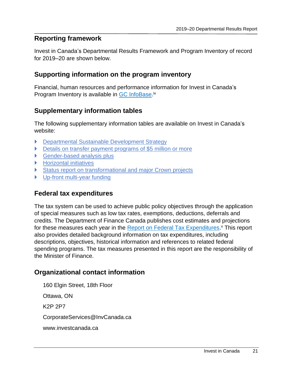### <span id="page-24-0"></span>**Reporting framework**

Invest in Canada's Departmental Results Framework and Program Inventory of record for 2019–20 are shown below.

### <span id="page-24-1"></span>**Supporting information on the program inventory**

Financial, human resources and performance information for Invest in Canada's Program Inventory is available in **GC InfoBase**.<sup>iv</sup>

### <span id="page-24-2"></span>**Supplementary information tables**

The following supplementary information tables are available on Invest in Canada's website:

- Departmental Sustainable Development Strategy
- Details on transfer payment programs of \$5 million or more
- ▶ Gender-based analysis plus
- Horizontal initiatives
- Status report on transformational and major Crown projects
- Up-front multi-year funding

### <span id="page-24-3"></span>**Federal tax expenditures**

The tax system can be used to achieve public policy objectives through the application of special measures such as low tax rates, exemptions, deductions, deferrals and credits. The Department of Finance Canada publishes cost estimates and projections for these measures each year in the **Report on Federal Tax Expenditures.**<sup>v</sup> This report also provides detailed background information on tax expenditures, including descriptions, objectives, historical information and references to related federal spending programs. The tax measures presented in this report are the responsibility of the Minister of Finance.

### <span id="page-24-4"></span>**Organizational contact information**

160 Elgin Street, 18th Floor Ottawa, ON K2P 2P7 CorporateServices@InvCanada.ca www.investcanada.ca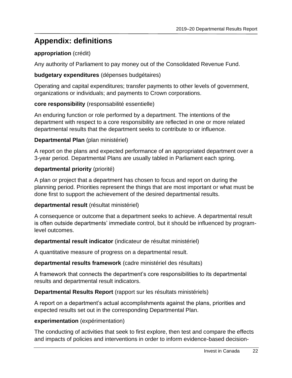# <span id="page-25-0"></span>**Appendix: definitions**

### **appropriation** (crédit)

Any authority of Parliament to pay money out of the Consolidated Revenue Fund.

### **budgetary expenditures** (dépenses budgétaires)

Operating and capital expenditures; transfer payments to other levels of government, organizations or individuals; and payments to Crown corporations.

### **core responsibility** (responsabilité essentielle)

An enduring function or role performed by a department. The intentions of the department with respect to a core responsibility are reflected in one or more related departmental results that the department seeks to contribute to or influence.

### **Departmental Plan** (plan ministériel)

A report on the plans and expected performance of an appropriated department over a 3-year period. Departmental Plans are usually tabled in Parliament each spring.

### **departmental priority** (priorité)

A plan or project that a department has chosen to focus and report on during the planning period. Priorities represent the things that are most important or what must be done first to support the achievement of the desired departmental results.

#### **departmental result** (résultat ministériel)

A consequence or outcome that a department seeks to achieve. A departmental result is often outside departments' immediate control, but it should be influenced by programlevel outcomes.

#### **departmental result indicator** (indicateur de résultat ministériel)

A quantitative measure of progress on a departmental result.

#### **departmental results framework** (cadre ministériel des résultats)

A framework that connects the department's core responsibilities to its departmental results and departmental result indicators.

### **Departmental Results Report** (rapport sur les résultats ministériels)

A report on a department's actual accomplishments against the plans, priorities and expected results set out in the corresponding Departmental Plan.

#### **experimentation** (expérimentation)

The conducting of activities that seek to first explore, then test and compare the effects and impacts of policies and interventions in order to inform evidence-based decision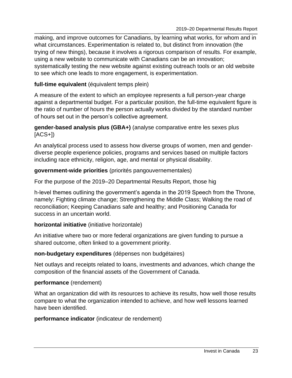making, and improve outcomes for Canadians, by learning what works, for whom and in what circumstances. Experimentation is related to, but distinct from innovation (the trying of new things), because it involves a rigorous comparison of results. For example, using a new website to communicate with Canadians can be an innovation; systematically testing the new website against existing outreach tools or an old website to see which one leads to more engagement, is experimentation.

### **full-time equivalent** (équivalent temps plein)

A measure of the extent to which an employee represents a full person-year charge against a departmental budget. For a particular position, the full-time equivalent figure is the ratio of number of hours the person actually works divided by the standard number of hours set out in the person's collective agreement.

#### **gender-based analysis plus (GBA+)** (analyse comparative entre les sexes plus  $[ACS+])$

An analytical process used to assess how diverse groups of women, men and genderdiverse people experience policies, programs and services based on multiple factors including race ethnicity, religion, age, and mental or physical disability.

### **government-wide priorities** (priorités pangouvernementales)

For the purpose of the 2019–20 Departmental Results Report, those hig

h-level themes outlining the government's agenda in the 2019 Speech from the Throne, namely: Fighting climate change; Strengthening the Middle Class; Walking the road of reconciliation; Keeping Canadians safe and healthy; and Positioning Canada for success in an uncertain world.

### **horizontal initiative** (initiative horizontale)

An initiative where two or more federal organizations are given funding to pursue a shared outcome, often linked to a government priority.

#### **non-budgetary expenditures** (dépenses non budgétaires)

Net outlays and receipts related to loans, investments and advances, which change the composition of the financial assets of the Government of Canada.

### **performance** (rendement)

What an organization did with its resources to achieve its results, how well those results compare to what the organization intended to achieve, and how well lessons learned have been identified.

### **performance indicator** (indicateur de rendement)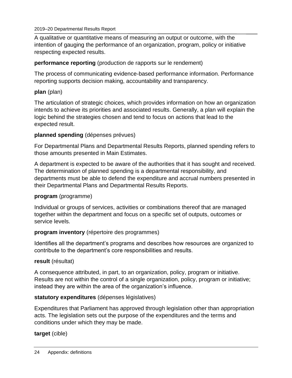#### 2019–20 Departmental Results Report

A qualitative or quantitative means of measuring an output or outcome, with the intention of gauging the performance of an organization, program, policy or initiative respecting expected results.

#### **performance reporting** (production de rapports sur le rendement)

The process of communicating evidence-based performance information. Performance reporting supports decision making, accountability and transparency.

#### **plan** (plan)

The articulation of strategic choices, which provides information on how an organization intends to achieve its priorities and associated results. Generally, a plan will explain the logic behind the strategies chosen and tend to focus on actions that lead to the expected result.

#### **planned spending** (dépenses prévues)

For Departmental Plans and Departmental Results Reports, planned spending refers to those amounts presented in Main Estimates.

A department is expected to be aware of the authorities that it has sought and received. The determination of planned spending is a departmental responsibility, and departments must be able to defend the expenditure and accrual numbers presented in their Departmental Plans and Departmental Results Reports.

#### **program** (programme)

Individual or groups of services, activities or combinations thereof that are managed together within the department and focus on a specific set of outputs, outcomes or service levels.

#### **program inventory** (répertoire des programmes)

Identifies all the department's programs and describes how resources are organized to contribute to the department's core responsibilities and results.

#### **result** (résultat)

A consequence attributed, in part, to an organization, policy, program or initiative. Results are not within the control of a single organization, policy, program or initiative; instead they are within the area of the organization's influence.

#### **statutory expenditures** (dépenses législatives)

Expenditures that Parliament has approved through legislation other than appropriation acts. The legislation sets out the purpose of the expenditures and the terms and conditions under which they may be made.

**target** (cible)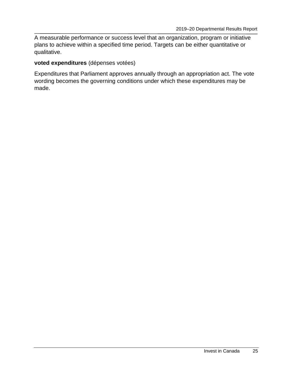A measurable performance or success level that an organization, program or initiative plans to achieve within a specified time period. Targets can be either quantitative or qualitative.

#### **voted expenditures** (dépenses votées)

Expenditures that Parliament approves annually through an appropriation act. The vote wording becomes the governing conditions under which these expenditures may be made.